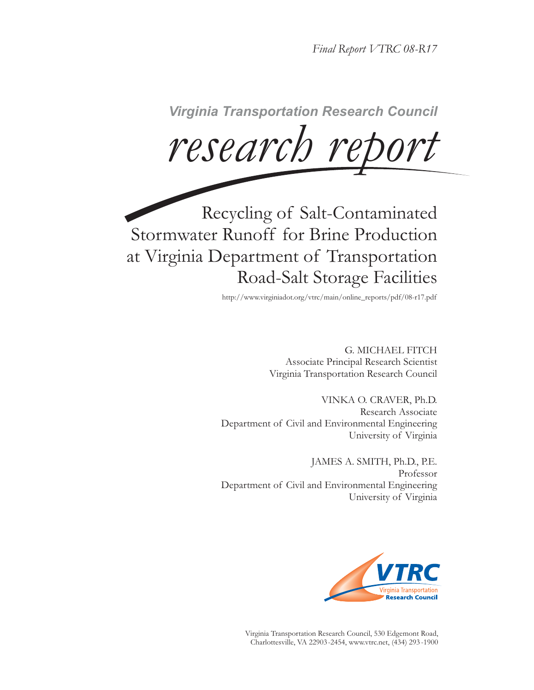*Final Report VTRC 08-R17*

 $research$  report

Recycling of Salt-Contaminated Stormwater Runoff for Brine Production at Virginia Department of Transportation Road-Salt Storage Facilities

http://www.virginiadot.org/vtrc/main/online\_reports/pdf/08-r17.pdf

G. MICHAEL FITCH Associate Principal Research Scientist Virginia Transportation Research Council

VINKA O. CRAVER, Ph.D. Research Associate Department of Civil and Environmental Engineering University of Virginia

JAMES A. SMITH, Ph.D., P.E. Professor Department of Civil and Environmental Engineering University of Virginia



Virginia Transportation Research Council, 530 Edgemont Road, Charlottesville, VA 22903-2454, www.vtrc.net, (434) 293 -1900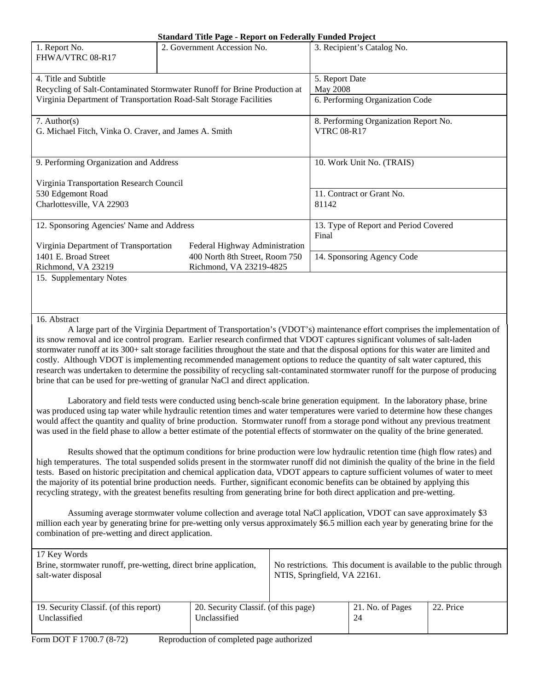| <b>Standard Title Page - Report on Federally Funded Project</b> |  |  |
|-----------------------------------------------------------------|--|--|
|                                                                 |  |  |

|                                                                    | $\beta$ tanual u Title I age - Report on Feuerally Funded I Foject       |                                       |  |  |
|--------------------------------------------------------------------|--------------------------------------------------------------------------|---------------------------------------|--|--|
| 1. Report No.<br>FHWA/VTRC 08-R17                                  | 2. Government Accession No.                                              | 3. Recipient's Catalog No.            |  |  |
| 4. Title and Subtitle                                              |                                                                          | 5. Report Date                        |  |  |
|                                                                    | Recycling of Salt-Contaminated Stormwater Runoff for Brine Production at | May 2008                              |  |  |
| Virginia Department of Transportation Road-Salt Storage Facilities |                                                                          | 6. Performing Organization Code       |  |  |
| 7. Author(s)                                                       |                                                                          | 8. Performing Organization Report No. |  |  |
| G. Michael Fitch, Vinka O. Craver, and James A. Smith              |                                                                          | <b>VTRC 08-R17</b>                    |  |  |
|                                                                    |                                                                          |                                       |  |  |
| 9. Performing Organization and Address                             |                                                                          | 10. Work Unit No. (TRAIS)             |  |  |
| Virginia Transportation Research Council                           |                                                                          |                                       |  |  |
| 530 Edgemont Road                                                  |                                                                          | 11. Contract or Grant No.             |  |  |
| Charlottesville, VA 22903                                          |                                                                          | 81142                                 |  |  |
|                                                                    |                                                                          |                                       |  |  |
| 12. Sponsoring Agencies' Name and Address                          |                                                                          | 13. Type of Report and Period Covered |  |  |
|                                                                    |                                                                          | Final                                 |  |  |
| Virginia Department of Transportation                              | Federal Highway Administration                                           |                                       |  |  |
| 1401 E. Broad Street                                               | 400 North 8th Street, Room 750                                           | 14. Sponsoring Agency Code            |  |  |
| Richmond, VA 23219                                                 | Richmond, VA 23219-4825                                                  |                                       |  |  |
| 15. Supplementary Notes                                            |                                                                          |                                       |  |  |

#### 16. Abstract

A large part of the Virginia Department of Transportation's (VDOT's) maintenance effort comprises the implementation of its snow removal and ice control program. Earlier research confirmed that VDOT captures significant volumes of salt-laden stormwater runoff at its 300+ salt storage facilities throughout the state and that the disposal options for this water are limited and costly. Although VDOT is implementing recommended management options to reduce the quantity of salt water captured, this research was undertaken to determine the possibility of recycling salt-contaminated stormwater runoff for the purpose of producing brine that can be used for pre-wetting of granular NaCl and direct application.

Laboratory and field tests were conducted using bench-scale brine generation equipment. In the laboratory phase, brine was produced using tap water while hydraulic retention times and water temperatures were varied to determine how these changes would affect the quantity and quality of brine production. Stormwater runoff from a storage pond without any previous treatment was used in the field phase to allow a better estimate of the potential effects of stormwater on the quality of the brine generated.

Results showed that the optimum conditions for brine production were low hydraulic retention time (high flow rates) and high temperatures. The total suspended solids present in the stormwater runoff did not diminish the quality of the brine in the field tests. Based on historic precipitation and chemical application data, VDOT appears to capture sufficient volumes of water to meet the majority of its potential brine production needs. Further, significant economic benefits can be obtained by applying this recycling strategy, with the greatest benefits resulting from generating brine for both direct application and pre-wetting.

Assuming average stormwater volume collection and average total NaCl application, VDOT can save approximately \$3 million each year by generating brine for pre-wetting only versus approximately \$6.5 million each year by generating brine for the combination of pre-wetting and direct application.

| 17 Key Words<br>Brine, stormwater runoff, pre-wetting, direct brine application,<br>salt-water disposal |                                                      | No restrictions. This document is available to the public through<br>NTIS, Springfield, VA 22161. |                        |           |
|---------------------------------------------------------------------------------------------------------|------------------------------------------------------|---------------------------------------------------------------------------------------------------|------------------------|-----------|
| 19. Security Classif. (of this report)<br>Unclassified                                                  | 20. Security Classif. (of this page)<br>Unclassified |                                                                                                   | 21. No. of Pages<br>24 | 22. Price |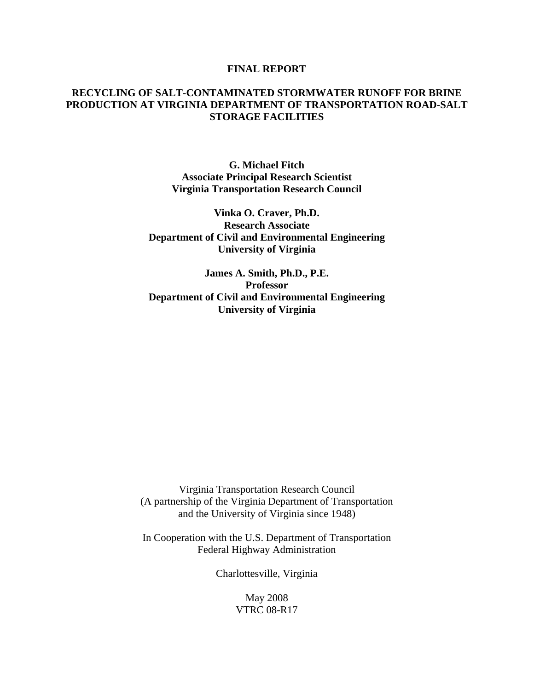### **FINAL REPORT**

# **RECYCLING OF SALT-CONTAMINATED STORMWATER RUNOFF FOR BRINE PRODUCTION AT VIRGINIA DEPARTMENT OF TRANSPORTATION ROAD-SALT STORAGE FACILITIES**

**G. Michael Fitch Associate Principal Research Scientist Virginia Transportation Research Council** 

**Vinka O. Craver, Ph.D. Research Associate Department of Civil and Environmental Engineering University of Virginia** 

**James A. Smith, Ph.D., P.E. Professor Department of Civil and Environmental Engineering University of Virginia** 

Virginia Transportation Research Council (A partnership of the Virginia Department of Transportation and the University of Virginia since 1948)

In Cooperation with the U.S. Department of Transportation Federal Highway Administration

Charlottesville, Virginia

May 2008 VTRC 08-R17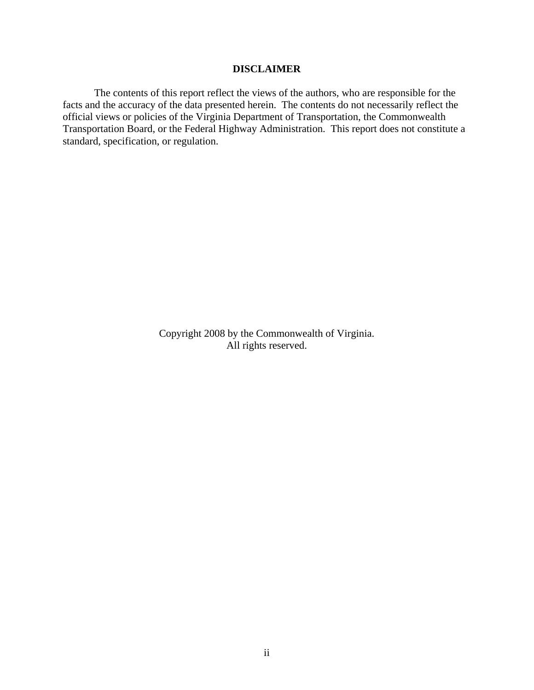## **DISCLAIMER**

The contents of this report reflect the views of the authors, who are responsible for the facts and the accuracy of the data presented herein. The contents do not necessarily reflect the official views or policies of the Virginia Department of Transportation, the Commonwealth Transportation Board, or the Federal Highway Administration. This report does not constitute a standard, specification, or regulation.

> Copyright 2008 by the Commonwealth of Virginia. All rights reserved.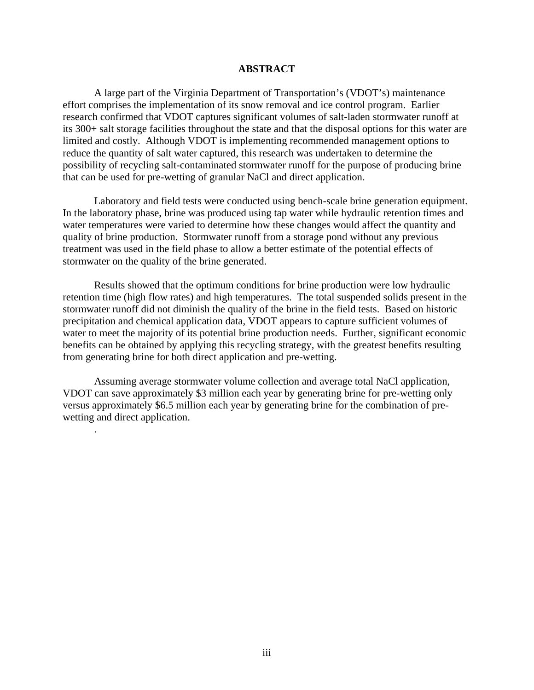### **ABSTRACT**

A large part of the Virginia Department of Transportation's (VDOT's) maintenance effort comprises the implementation of its snow removal and ice control program. Earlier research confirmed that VDOT captures significant volumes of salt-laden stormwater runoff at its 300+ salt storage facilities throughout the state and that the disposal options for this water are limited and costly. Although VDOT is implementing recommended management options to reduce the quantity of salt water captured, this research was undertaken to determine the possibility of recycling salt-contaminated stormwater runoff for the purpose of producing brine that can be used for pre-wetting of granular NaCl and direct application.

Laboratory and field tests were conducted using bench-scale brine generation equipment. In the laboratory phase, brine was produced using tap water while hydraulic retention times and water temperatures were varied to determine how these changes would affect the quantity and quality of brine production. Stormwater runoff from a storage pond without any previous treatment was used in the field phase to allow a better estimate of the potential effects of stormwater on the quality of the brine generated.

Results showed that the optimum conditions for brine production were low hydraulic retention time (high flow rates) and high temperatures. The total suspended solids present in the stormwater runoff did not diminish the quality of the brine in the field tests. Based on historic precipitation and chemical application data, VDOT appears to capture sufficient volumes of water to meet the majority of its potential brine production needs. Further, significant economic benefits can be obtained by applying this recycling strategy, with the greatest benefits resulting from generating brine for both direct application and pre-wetting.

Assuming average stormwater volume collection and average total NaCl application, VDOT can save approximately \$3 million each year by generating brine for pre-wetting only versus approximately \$6.5 million each year by generating brine for the combination of prewetting and direct application.

.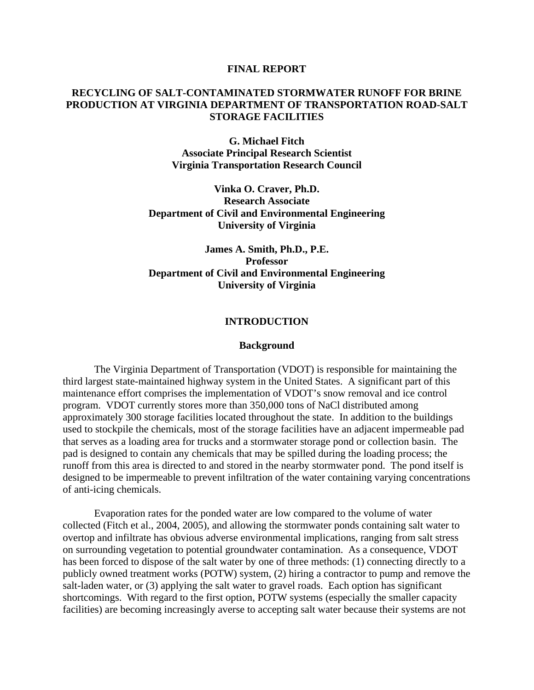#### **FINAL REPORT**

## **RECYCLING OF SALT-CONTAMINATED STORMWATER RUNOFF FOR BRINE PRODUCTION AT VIRGINIA DEPARTMENT OF TRANSPORTATION ROAD-SALT STORAGE FACILITIES**

**G. Michael Fitch Associate Principal Research Scientist Virginia Transportation Research Council** 

**Vinka O. Craver, Ph.D. Research Associate Department of Civil and Environmental Engineering University of Virginia** 

# **James A. Smith, Ph.D., P.E. Professor Department of Civil and Environmental Engineering University of Virginia**

### **INTRODUCTION**

#### **Background**

 The Virginia Department of Transportation (VDOT) is responsible for maintaining the third largest state-maintained highway system in the United States. A significant part of this maintenance effort comprises the implementation of VDOT's snow removal and ice control program. VDOT currently stores more than 350,000 tons of NaCl distributed among approximately 300 storage facilities located throughout the state. In addition to the buildings used to stockpile the chemicals, most of the storage facilities have an adjacent impermeable pad that serves as a loading area for trucks and a stormwater storage pond or collection basin. The pad is designed to contain any chemicals that may be spilled during the loading process; the runoff from this area is directed to and stored in the nearby stormwater pond. The pond itself is designed to be impermeable to prevent infiltration of the water containing varying concentrations of anti-icing chemicals.

 Evaporation rates for the ponded water are low compared to the volume of water collected (Fitch et al., 2004, 2005), and allowing the stormwater ponds containing salt water to overtop and infiltrate has obvious adverse environmental implications, ranging from salt stress on surrounding vegetation to potential groundwater contamination. As a consequence, VDOT has been forced to dispose of the salt water by one of three methods: (1) connecting directly to a publicly owned treatment works (POTW) system, (2) hiring a contractor to pump and remove the salt-laden water, or (3) applying the salt water to gravel roads. Each option has significant shortcomings. With regard to the first option, POTW systems (especially the smaller capacity facilities) are becoming increasingly averse to accepting salt water because their systems are not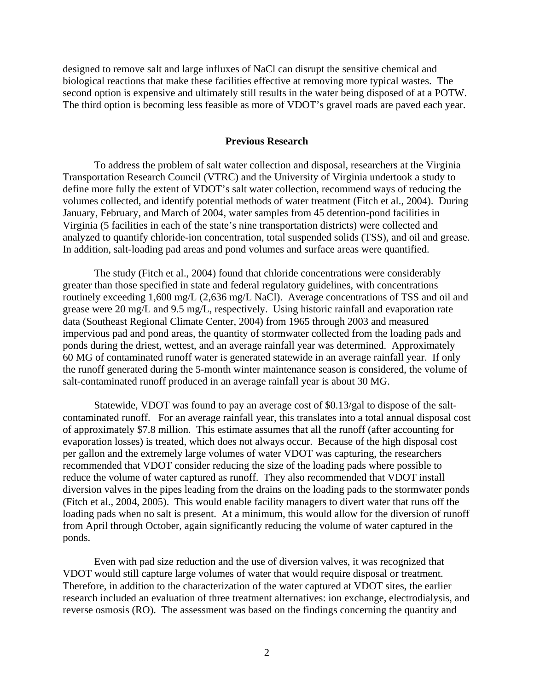designed to remove salt and large influxes of NaCl can disrupt the sensitive chemical and biological reactions that make these facilities effective at removing more typical wastes. The second option is expensive and ultimately still results in the water being disposed of at a POTW. The third option is becoming less feasible as more of VDOT's gravel roads are paved each year.

### **Previous Research**

To address the problem of salt water collection and disposal, researchers at the Virginia Transportation Research Council (VTRC) and the University of Virginia undertook a study to define more fully the extent of VDOT's salt water collection, recommend ways of reducing the volumes collected, and identify potential methods of water treatment (Fitch et al., 2004). During January, February, and March of 2004, water samples from 45 detention-pond facilities in Virginia (5 facilities in each of the state's nine transportation districts) were collected and analyzed to quantify chloride-ion concentration, total suspended solids (TSS), and oil and grease. In addition, salt-loading pad areas and pond volumes and surface areas were quantified.

The study (Fitch et al., 2004) found that chloride concentrations were considerably greater than those specified in state and federal regulatory guidelines, with concentrations routinely exceeding 1,600 mg/L (2,636 mg/L NaCl). Average concentrations of TSS and oil and grease were 20 mg/L and 9.5 mg/L, respectively. Using historic rainfall and evaporation rate data (Southeast Regional Climate Center, 2004) from 1965 through 2003 and measured impervious pad and pond areas, the quantity of stormwater collected from the loading pads and ponds during the driest, wettest, and an average rainfall year was determined. Approximately 60 MG of contaminated runoff water is generated statewide in an average rainfall year. If only the runoff generated during the 5-month winter maintenance season is considered, the volume of salt-contaminated runoff produced in an average rainfall year is about 30 MG.

Statewide, VDOT was found to pay an average cost of \$0.13/gal to dispose of the saltcontaminated runoff. For an average rainfall year, this translates into a total annual disposal cost of approximately \$7.8 million. This estimate assumes that all the runoff (after accounting for evaporation losses) is treated, which does not always occur. Because of the high disposal cost per gallon and the extremely large volumes of water VDOT was capturing, the researchers recommended that VDOT consider reducing the size of the loading pads where possible to reduce the volume of water captured as runoff. They also recommended that VDOT install diversion valves in the pipes leading from the drains on the loading pads to the stormwater ponds (Fitch et al., 2004, 2005). This would enable facility managers to divert water that runs off the loading pads when no salt is present. At a minimum, this would allow for the diversion of runoff from April through October, again significantly reducing the volume of water captured in the ponds.

Even with pad size reduction and the use of diversion valves, it was recognized that VDOT would still capture large volumes of water that would require disposal or treatment. Therefore, in addition to the characterization of the water captured at VDOT sites, the earlier research included an evaluation of three treatment alternatives: ion exchange, electrodialysis, and reverse osmosis (RO). The assessment was based on the findings concerning the quantity and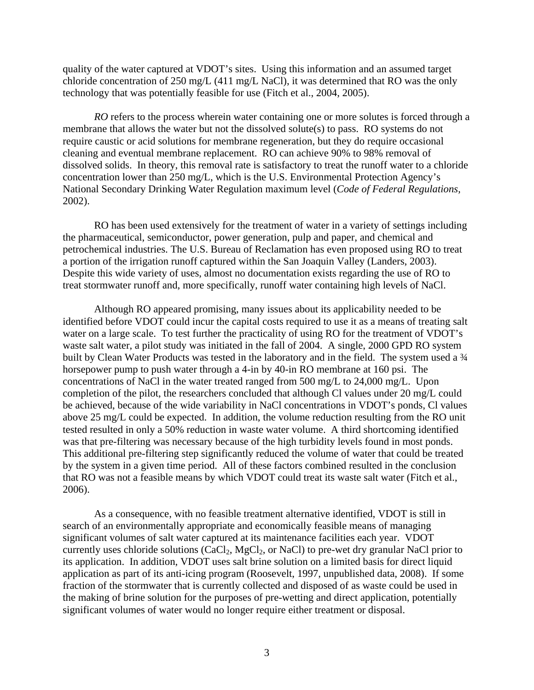quality of the water captured at VDOT's sites. Using this information and an assumed target chloride concentration of 250 mg/L (411 mg/L NaCl), it was determined that RO was the only technology that was potentially feasible for use (Fitch et al., 2004, 2005).

*RO* refers to the process wherein water containing one or more solutes is forced through a membrane that allows the water but not the dissolved solute(s) to pass. RO systems do not require caustic or acid solutions for membrane regeneration, but they do require occasional cleaning and eventual membrane replacement. RO can achieve 90% to 98% removal of dissolved solids. In theory, this removal rate is satisfactory to treat the runoff water to a chloride concentration lower than 250 mg/L, which is the U.S. Environmental Protection Agency's National Secondary Drinking Water Regulation maximum level (*Code of Federal Regulations,* 2002).

RO has been used extensively for the treatment of water in a variety of settings including the pharmaceutical, semiconductor, power generation, pulp and paper, and chemical and petrochemical industries. The U.S. Bureau of Reclamation has even proposed using RO to treat a portion of the irrigation runoff captured within the San Joaquin Valley (Landers, 2003). Despite this wide variety of uses, almost no documentation exists regarding the use of RO to treat stormwater runoff and, more specifically, runoff water containing high levels of NaCl.

Although RO appeared promising, many issues about its applicability needed to be identified before VDOT could incur the capital costs required to use it as a means of treating salt water on a large scale. To test further the practicality of using RO for the treatment of VDOT's waste salt water, a pilot study was initiated in the fall of 2004. A single, 2000 GPD RO system built by Clean Water Products was tested in the laboratory and in the field. The system used a  $\frac{3}{4}$ horsepower pump to push water through a 4-in by 40-in RO membrane at 160 psi. The concentrations of NaCl in the water treated ranged from 500 mg/L to 24,000 mg/L. Upon completion of the pilot, the researchers concluded that although Cl values under 20 mg/L could be achieved, because of the wide variability in NaCl concentrations in VDOT's ponds, Cl values above 25 mg/L could be expected. In addition, the volume reduction resulting from the RO unit tested resulted in only a 50% reduction in waste water volume. A third shortcoming identified was that pre-filtering was necessary because of the high turbidity levels found in most ponds. This additional pre-filtering step significantly reduced the volume of water that could be treated by the system in a given time period. All of these factors combined resulted in the conclusion that RO was not a feasible means by which VDOT could treat its waste salt water (Fitch et al., 2006).

 As a consequence, with no feasible treatment alternative identified, VDOT is still in search of an environmentally appropriate and economically feasible means of managing significant volumes of salt water captured at its maintenance facilities each year. VDOT currently uses chloride solutions  $(CaCl<sub>2</sub>, MgCl<sub>2</sub>, or NaCl)$  to pre-wet dry granular NaCl prior to its application. In addition, VDOT uses salt brine solution on a limited basis for direct liquid application as part of its anti-icing program (Roosevelt, 1997, unpublished data, 2008). If some fraction of the stormwater that is currently collected and disposed of as waste could be used in the making of brine solution for the purposes of pre-wetting and direct application, potentially significant volumes of water would no longer require either treatment or disposal.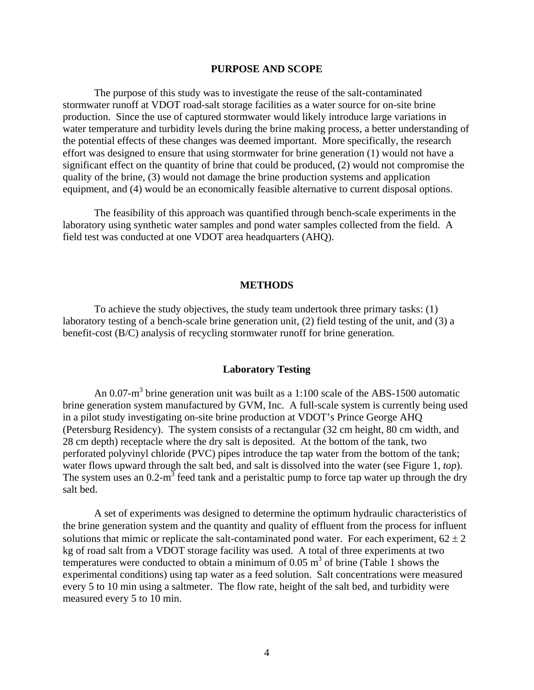### **PURPOSE AND SCOPE**

The purpose of this study was to investigate the reuse of the salt-contaminated stormwater runoff at VDOT road-salt storage facilities as a water source for on-site brine production. Since the use of captured stormwater would likely introduce large variations in water temperature and turbidity levels during the brine making process, a better understanding of the potential effects of these changes was deemed important. More specifically, the research effort was designed to ensure that using stormwater for brine generation (1) would not have a significant effect on the quantity of brine that could be produced, (2) would not compromise the quality of the brine, (3) would not damage the brine production systems and application equipment, and (4) would be an economically feasible alternative to current disposal options.

The feasibility of this approach was quantified through bench-scale experiments in the laboratory using synthetic water samples and pond water samples collected from the field. A field test was conducted at one VDOT area headquarters (AHQ).

#### **METHODS**

 To achieve the study objectives, the study team undertook three primary tasks: (1) laboratory testing of a bench-scale brine generation unit, (2) field testing of the unit, and (3) a benefit-cost (B/C) analysis of recycling stormwater runoff for brine generation.

### **Laboratory Testing**

An 0.07-m<sup>3</sup> brine generation unit was built as a 1:100 scale of the ABS-1500 automatic brine generation system manufactured by GVM, Inc. A full-scale system is currently being used in a pilot study investigating on-site brine production at VDOT's Prince George AHQ (Petersburg Residency). The system consists of a rectangular (32 cm height, 80 cm width, and 28 cm depth) receptacle where the dry salt is deposited. At the bottom of the tank, two perforated polyvinyl chloride (PVC) pipes introduce the tap water from the bottom of the tank; water flows upward through the salt bed, and salt is dissolved into the water (see Figure 1, *top*). The system uses an  $0.2 \text{ m}^3$  feed tank and a peristaltic pump to force tap water up through the dry salt bed.

 A set of experiments was designed to determine the optimum hydraulic characteristics of the brine generation system and the quantity and quality of effluent from the process for influent solutions that mimic or replicate the salt-contaminated pond water. For each experiment,  $62 \pm 2$ kg of road salt from a VDOT storage facility was used. A total of three experiments at two temperatures were conducted to obtain a minimum of  $0.05 \text{ m}^3$  of brine (Table 1 shows the experimental conditions) using tap water as a feed solution. Salt concentrations were measured every 5 to 10 min using a saltmeter. The flow rate, height of the salt bed, and turbidity were measured every 5 to 10 min.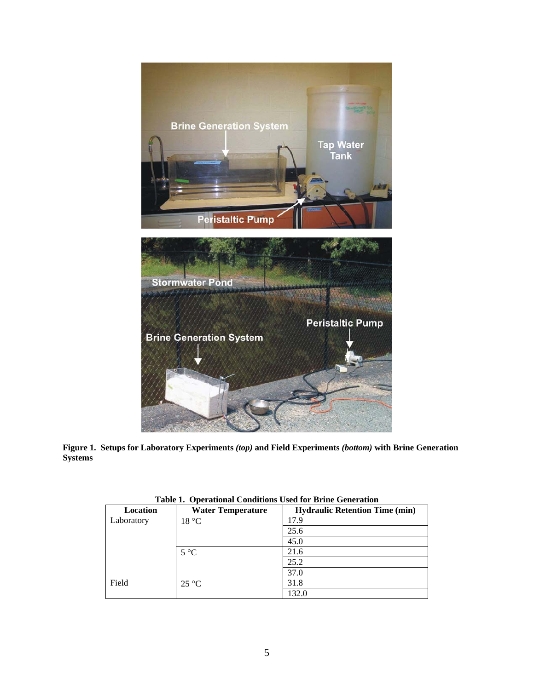

**Figure 1. Setups for Laboratory Experiments** *(top)* **and Field Experiments** *(bottom)* **with Brine Generation Systems** 

| Location   | <b>Water Temperature</b> | <b>Hydraulic Retention Time (min)</b> |  |
|------------|--------------------------|---------------------------------------|--|
| Laboratory | 18 °C                    | 17.9                                  |  |
|            |                          | 25.6                                  |  |
|            |                          | 45.0                                  |  |
|            | $5^{\circ}C$             | 21.6                                  |  |
|            |                          | 25.2                                  |  |
|            |                          | 37.0                                  |  |
| Field      | $25^{\circ}C$            | 31.8                                  |  |
|            |                          | 132.0                                 |  |

**Table 1. Operational Conditions Used for Brine Generation**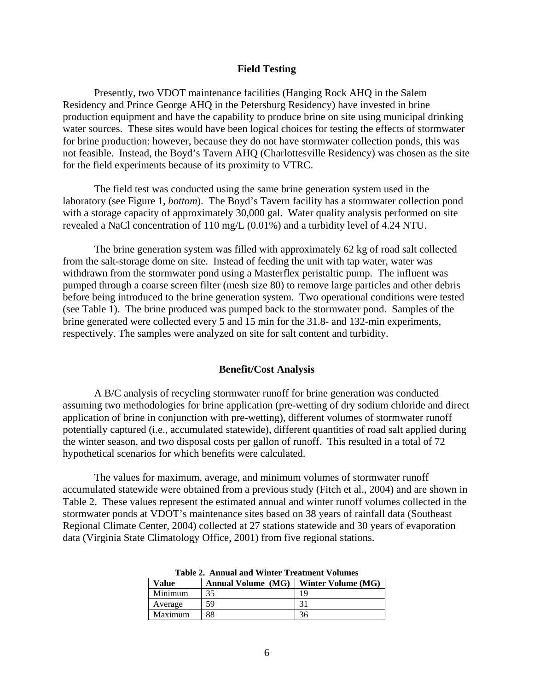### **Field Testing**

Presently, two VDOT maintenance facilities (Hanging Rock AHQ in the Salem Residency and Prince George AHQ in the Petersburg Residency) have invested in brine production equipment and have the capability to produce brine on site using municipal drinking water sources. These sites would have been logical choices for testing the effects of stormwater for brine production: however, because they do not have stormwater collection ponds, this was not feasible. Instead, the Boyd's Tavern AHQ (Charlottesville Residency) was chosen as the site for the field experiments because of its proximity to VTRC.

The field test was conducted using the same brine generation system used in the laboratory (see Figure 1, *bottom*). The Boyd's Tavern facility has a stormwater collection pond with a storage capacity of approximately 30,000 gal. Water quality analysis performed on site revealed a NaCl concentration of 110 mg/L (0.01%) and a turbidity level of 4.24 NTU.

 The brine generation system was filled with approximately 62 kg of road salt collected from the salt-storage dome on site. Instead of feeding the unit with tap water, water was withdrawn from the stormwater pond using a Masterflex peristaltic pump. The influent was pumped through a coarse screen filter (mesh size 80) to remove large particles and other debris before being introduced to the brine generation system. Two operational conditions were tested (see Table 1). The brine produced was pumped back to the stormwater pond. Samples of the brine generated were collected every 5 and 15 min for the 31.8- and 132-min experiments, respectively. The samples were analyzed on site for salt content and turbidity.

#### **Benefit/Cost Analysis**

A B/C analysis of recycling stormwater runoff for brine generation was conducted assuming two methodologies for brine application (pre-wetting of dry sodium chloride and direct application of brine in conjunction with pre-wetting), different volumes of stormwater runoff potentially captured (i.e., accumulated statewide), different quantities of road salt applied during the winter season, and two disposal costs per gallon of runoff. This resulted in a total of 72 hypothetical scenarios for which benefits were calculated.

 The values for maximum, average, and minimum volumes of stormwater runoff accumulated statewide were obtained from a previous study (Fitch et al., 2004) and are shown in Table 2. These values represent the estimated annual and winter runoff volumes collected in the stormwater ponds at VDOT's maintenance sites based on 38 years of rainfall data (Southeast Regional Climate Center, 2004) collected at 27 stations statewide and 30 years of evaporation data (Virginia State Climatology Office, 2001) from five regional stations.

| таріс 2. Анниагани утніст ттеаспісні у опшися |                           |                    |  |  |
|-----------------------------------------------|---------------------------|--------------------|--|--|
| <b>Value</b>                                  | <b>Annual Volume (MG)</b> | Winter Volume (MG) |  |  |
| Minimum                                       | 35                        |                    |  |  |
| Average                                       | 59                        |                    |  |  |
| Maximum                                       | 88                        | 36                 |  |  |

|  | Table 2. Annual and Winter Treatment Volumes |  |
|--|----------------------------------------------|--|
|  |                                              |  |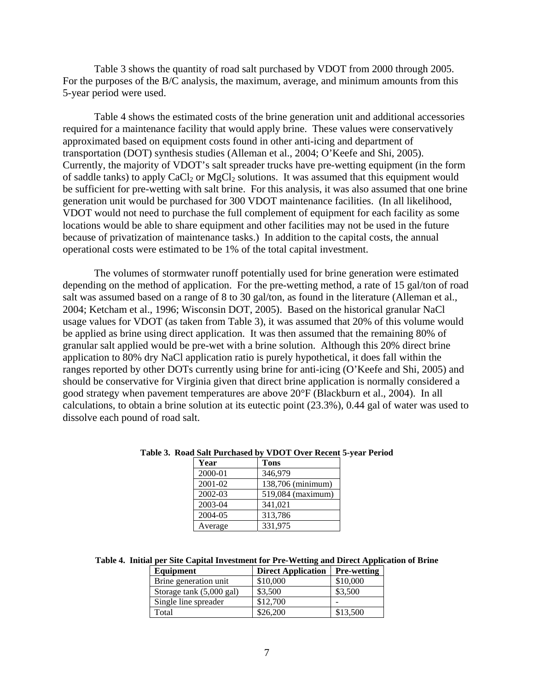Table 3 shows the quantity of road salt purchased by VDOT from 2000 through 2005. For the purposes of the B/C analysis, the maximum, average, and minimum amounts from this 5-year period were used.

Table 4 shows the estimated costs of the brine generation unit and additional accessories required for a maintenance facility that would apply brine. These values were conservatively approximated based on equipment costs found in other anti-icing and department of transportation (DOT) synthesis studies (Alleman et al., 2004; O'Keefe and Shi, 2005). Currently, the majority of VDOT's salt spreader trucks have pre-wetting equipment (in the form of saddle tanks) to apply  $CaCl<sub>2</sub>$  or  $MgCl<sub>2</sub>$  solutions. It was assumed that this equipment would be sufficient for pre-wetting with salt brine. For this analysis, it was also assumed that one brine generation unit would be purchased for 300 VDOT maintenance facilities. (In all likelihood, VDOT would not need to purchase the full complement of equipment for each facility as some locations would be able to share equipment and other facilities may not be used in the future because of privatization of maintenance tasks.) In addition to the capital costs, the annual operational costs were estimated to be 1% of the total capital investment.

The volumes of stormwater runoff potentially used for brine generation were estimated depending on the method of application. For the pre-wetting method, a rate of 15 gal/ton of road salt was assumed based on a range of 8 to 30 gal/ton, as found in the literature (Alleman et al., 2004; Ketcham et al., 1996; Wisconsin DOT, 2005). Based on the historical granular NaCl usage values for VDOT (as taken from Table 3), it was assumed that 20% of this volume would be applied as brine using direct application. It was then assumed that the remaining 80% of granular salt applied would be pre-wet with a brine solution. Although this 20% direct brine application to 80% dry NaCl application ratio is purely hypothetical, it does fall within the ranges reported by other DOTs currently using brine for anti-icing (O'Keefe and Shi, 2005) and should be conservative for Virginia given that direct brine application is normally considered a good strategy when pavement temperatures are above 20°F (Blackburn et al., 2004). In all calculations, to obtain a brine solution at its eutectic point (23.3%), 0.44 gal of water was used to dissolve each pound of road salt.

| Year    | <b>Tons</b>       |
|---------|-------------------|
| 2000-01 | 346,979           |
| 2001-02 | 138,706 (minimum) |
| 2002-03 | 519,084 (maximum) |
| 2003-04 | 341,021           |
| 2004-05 | 313,786           |
| Average | 331,975           |

**Table 3. Road Salt Purchased by VDOT Over Recent 5-year Period** 

**Table 4. Initial per Site Capital Investment for Pre-Wetting and Direct Application of Brine** 

| Equipment                | <b>Direct Application</b> | <b>Pre-wetting</b> |
|--------------------------|---------------------------|--------------------|
| Brine generation unit    | \$10,000                  | \$10,000           |
| Storage tank (5,000 gal) | \$3,500                   | \$3,500            |
| Single line spreader     | \$12,700                  |                    |
| Total                    | \$26,200                  | \$13,500           |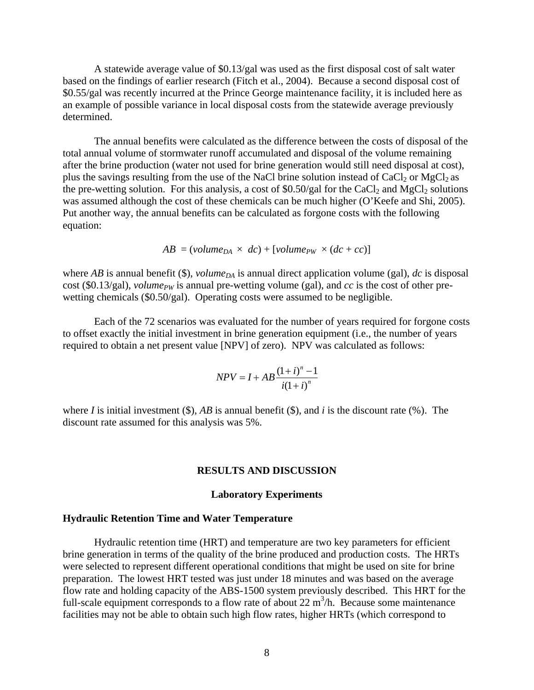A statewide average value of \$0.13/gal was used as the first disposal cost of salt water based on the findings of earlier research (Fitch et al., 2004).Because a second disposal cost of \$0.55/gal was recently incurred at the Prince George maintenance facility, it is included here as an example of possible variance in local disposal costs from the statewide average previously determined.

The annual benefits were calculated as the difference between the costs of disposal of the total annual volume of stormwater runoff accumulated and disposal of the volume remaining after the brine production (water not used for brine generation would still need disposal at cost), plus the savings resulting from the use of the NaCl brine solution instead of  $CaCl<sub>2</sub>$  or MgCl<sub>2</sub> as the pre-wetting solution. For this analysis, a cost of  $$0.50/gal$  for the CaCl<sub>2</sub> and MgCl<sub>2</sub> solutions was assumed although the cost of these chemicals can be much higher (O'Keefe and Shi, 2005). Put another way, the annual benefits can be calculated as forgone costs with the following equation:

$$
AB = (volume_{DA} \times dc) + [volume_{PW} \times (dc + cc)]
$$

where *AB* is annual benefit (\$), *volume*<sub>DA</sub> is annual direct application volume (gal), *dc* is disposal cost (\$0.13/gal), *volume<sub>PW</sub>* is annual pre-wetting volume (gal), and *cc* is the cost of other prewetting chemicals (\$0.50/gal). Operating costs were assumed to be negligible.

 Each of the 72 scenarios was evaluated for the number of years required for forgone costs to offset exactly the initial investment in brine generation equipment (i.e., the number of years required to obtain a net present value [NPV] of zero). NPV was calculated as follows:

$$
NPV = I + AB \frac{(1+i)^n - 1}{i(1+i)^n}
$$

where *I* is initial investment (\$),  $AB$  is annual benefit (\$), and *i* is the discount rate (%). The discount rate assumed for this analysis was 5%.

### **RESULTS AND DISCUSSION**

#### **Laboratory Experiments**

#### **Hydraulic Retention Time and Water Temperature**

Hydraulic retention time (HRT) and temperature are two key parameters for efficient brine generation in terms of the quality of the brine produced and production costs. The HRTs were selected to represent different operational conditions that might be used on site for brine preparation. The lowest HRT tested was just under 18 minutes and was based on the average flow rate and holding capacity of the ABS-1500 system previously described. This HRT for the full-scale equipment corresponds to a flow rate of about  $22 \text{ m}^3/\text{h}$ . Because some maintenance facilities may not be able to obtain such high flow rates, higher HRTs (which correspond to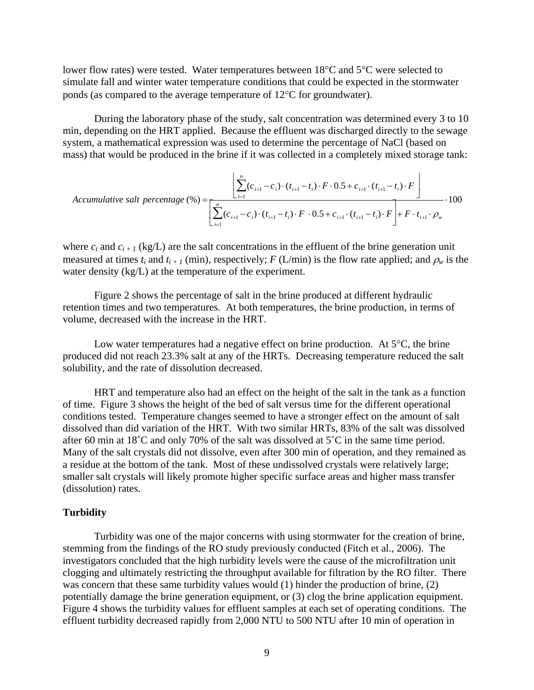lower flow rates) were tested. Water temperatures between 18°C and 5°C were selected to simulate fall and winter water temperature conditions that could be expected in the stormwater ponds (as compared to the average temperature of 12°C for groundwater).

During the laboratory phase of the study, salt concentration was determined every 3 to 10 min, depending on the HRT applied. Because the effluent was discharged directly to the sewage system, a mathematical expression was used to determine the percentage of NaCl (based on mass) that would be produced in the brine if it was collected in a completely mixed storage tank:

$$
Accumulative salt percentage (\%) = \frac{\left[ \sum_{i=1}^{n} (c_{i+1} - c_i) \cdot (t_{i+1} - t_i) \cdot F \cdot 0.5 + c_{i+1} \cdot (t_{i+1} - t_i) \cdot F \right]}{\left[ \sum_{i=1}^{n} (c_{i+1} - c_i) \cdot (t_{i+1} - t_i) \cdot F \cdot 0.5 + c_{i+1} \cdot (t_{i+1} - t_i) \cdot F \right] + F \cdot t_{i+1} \cdot \rho_w} \cdot 100
$$

where  $c_i$  and  $c_{i+1}$  (kg/L) are the salt concentrations in the effluent of the brine generation unit measured at times  $t_i$  and  $t_{i+1}$  (min), respectively;  $F(L/min)$  is the flow rate applied; and  $\rho_w$  is the water density (kg/L) at the temperature of the experiment.

Figure 2 shows the percentage of salt in the brine produced at different hydraulic retention times and two temperatures. At both temperatures, the brine production, in terms of volume, decreased with the increase in the HRT.

Low water temperatures had a negative effect on brine production. At  $5^{\circ}C$ , the brine produced did not reach 23.3% salt at any of the HRTs. Decreasing temperature reduced the salt solubility, and the rate of dissolution decreased.

HRT and temperature also had an effect on the height of the salt in the tank as a function of time. Figure 3 shows the height of the bed of salt versus time for the different operational conditions tested. Temperature changes seemed to have a stronger effect on the amount of salt dissolved than did variation of the HRT. With two similar HRTs, 83% of the salt was dissolved after 60 min at 18˚C and only 70% of the salt was dissolved at 5˚C in the same time period. Many of the salt crystals did not dissolve, even after 300 min of operation, and they remained as a residue at the bottom of the tank. Most of these undissolved crystals were relatively large; smaller salt crystals will likely promote higher specific surface areas and higher mass transfer (dissolution) rates.

### **Turbidity**

Turbidity was one of the major concerns with using stormwater for the creation of brine, stemming from the findings of the RO study previously conducted (Fitch et al., 2006). The investigators concluded that the high turbidity levels were the cause of the microfiltration unit clogging and ultimately restricting the throughput available for filtration by the RO filter. There was concern that these same turbidity values would (1) hinder the production of brine, (2) potentially damage the brine generation equipment, or (3) clog the brine application equipment. Figure 4 shows the turbidity values for effluent samples at each set of operating conditions. The effluent turbidity decreased rapidly from 2,000 NTU to 500 NTU after 10 min of operation in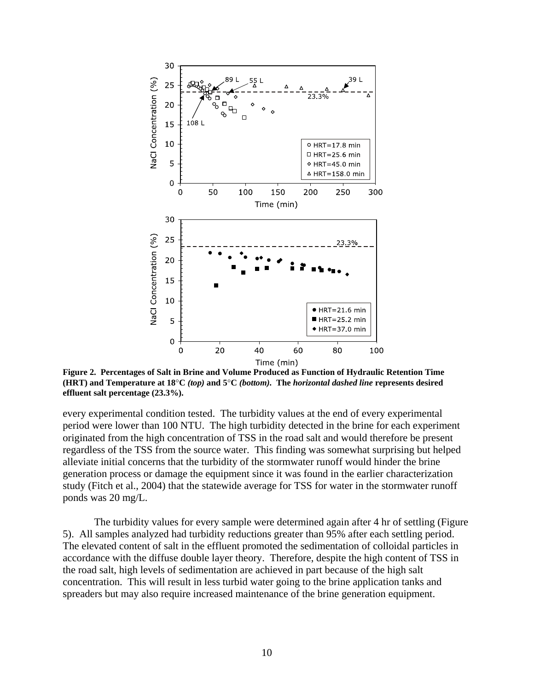

**Figure 2. Percentages of Salt in Brine and Volume Produced as Function of Hydraulic Retention Time (HRT) and Temperature at 18**°**C** *(top)* **and 5**°**C** *(bottom).* **The** *horizontal dashed line* **represents desired effluent salt percentage (23.3%).** 

every experimental condition tested. The turbidity values at the end of every experimental period were lower than 100 NTU. The high turbidity detected in the brine for each experiment originated from the high concentration of TSS in the road salt and would therefore be present regardless of the TSS from the source water. This finding was somewhat surprising but helped alleviate initial concerns that the turbidity of the stormwater runoff would hinder the brine generation process or damage the equipment since it was found in the earlier characterization study (Fitch et al., 2004) that the statewide average for TSS for water in the stormwater runoff ponds was 20 mg/L.

The turbidity values for every sample were determined again after 4 hr of settling (Figure 5). All samples analyzed had turbidity reductions greater than 95% after each settling period. The elevated content of salt in the effluent promoted the sedimentation of colloidal particles in accordance with the diffuse double layer theory. Therefore, despite the high content of TSS in the road salt, high levels of sedimentation are achieved in part because of the high salt concentration. This will result in less turbid water going to the brine application tanks and spreaders but may also require increased maintenance of the brine generation equipment.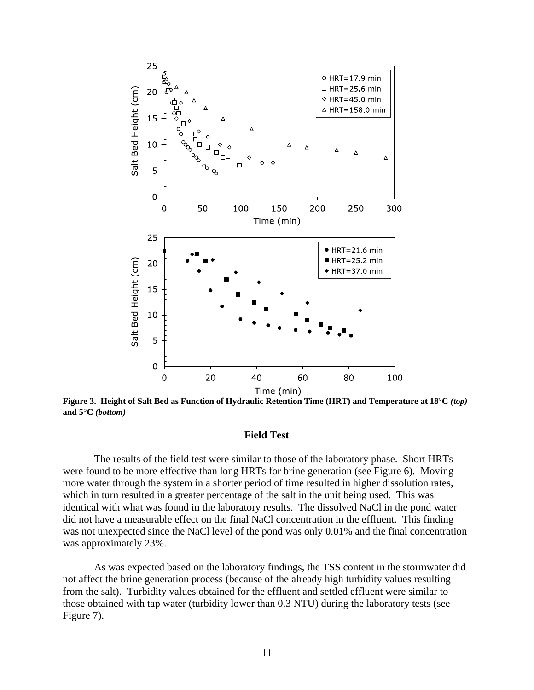

**Figure 3. Height of Salt Bed as Function of Hydraulic Retention Time (HRT) and Temperature at 18**°**C** *(top)* **and 5**°**C** *(bottom)*

#### **Field Test**

The results of the field test were similar to those of the laboratory phase. Short HRTs were found to be more effective than long HRTs for brine generation (see Figure 6). Moving more water through the system in a shorter period of time resulted in higher dissolution rates, which in turn resulted in a greater percentage of the salt in the unit being used. This was identical with what was found in the laboratory results. The dissolved NaCl in the pond water did not have a measurable effect on the final NaCl concentration in the effluent. This finding was not unexpected since the NaCl level of the pond was only 0.01% and the final concentration was approximately 23%.

As was expected based on the laboratory findings, the TSS content in the stormwater did not affect the brine generation process (because of the already high turbidity values resulting from the salt). Turbidity values obtained for the effluent and settled effluent were similar to those obtained with tap water (turbidity lower than 0.3 NTU) during the laboratory tests (see Figure 7).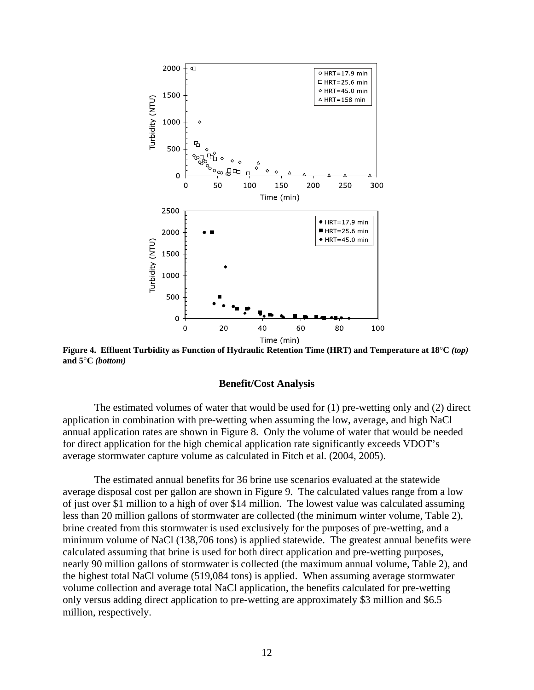

**Figure 4. Effluent Turbidity as Function of Hydraulic Retention Time (HRT) and Temperature at 18**°**C** *(top)* **and 5**°**C** *(bottom)* 

#### **Benefit/Cost Analysis**

The estimated volumes of water that would be used for (1) pre-wetting only and (2) direct application in combination with pre-wetting when assuming the low, average, and high NaCl annual application rates are shown in Figure 8. Only the volume of water that would be needed for direct application for the high chemical application rate significantly exceeds VDOT's average stormwater capture volume as calculated in Fitch et al. (2004, 2005).

The estimated annual benefits for 36 brine use scenarios evaluated at the statewide average disposal cost per gallon are shown in Figure 9. The calculated values range from a low of just over \$1 million to a high of over \$14 million. The lowest value was calculated assuming less than 20 million gallons of stormwater are collected (the minimum winter volume, Table 2), brine created from this stormwater is used exclusively for the purposes of pre-wetting, and a minimum volume of NaCl (138,706 tons) is applied statewide. The greatest annual benefits were calculated assuming that brine is used for both direct application and pre-wetting purposes, nearly 90 million gallons of stormwater is collected (the maximum annual volume, Table 2), and the highest total NaCl volume (519,084 tons) is applied. When assuming average stormwater volume collection and average total NaCl application, the benefits calculated for pre-wetting only versus adding direct application to pre-wetting are approximately \$3 million and \$6.5 million, respectively.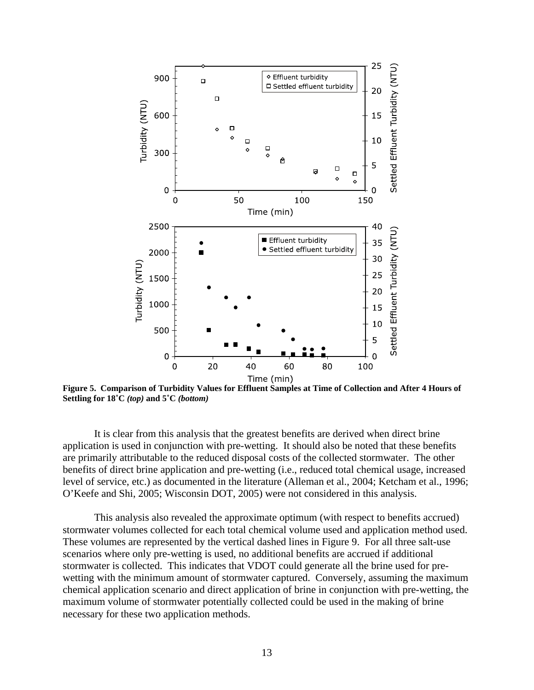

**Figure 5. Comparison of Turbidity Values for Effluent Samples at Time of Collection and After 4 Hours of Settling for 18˚C** *(top)* **and 5˚C** *(bottom)* 

It is clear from this analysis that the greatest benefits are derived when direct brine application is used in conjunction with pre-wetting. It should also be noted that these benefits are primarily attributable to the reduced disposal costs of the collected stormwater. The other benefits of direct brine application and pre-wetting (i.e., reduced total chemical usage, increased level of service, etc.) as documented in the literature (Alleman et al., 2004; Ketcham et al., 1996; O'Keefe and Shi, 2005; Wisconsin DOT, 2005) were not considered in this analysis.

This analysis also revealed the approximate optimum (with respect to benefits accrued) stormwater volumes collected for each total chemical volume used and application method used. These volumes are represented by the vertical dashed lines in Figure 9. For all three salt-use scenarios where only pre-wetting is used, no additional benefits are accrued if additional stormwater is collected. This indicates that VDOT could generate all the brine used for prewetting with the minimum amount of stormwater captured. Conversely, assuming the maximum chemical application scenario and direct application of brine in conjunction with pre-wetting, the maximum volume of stormwater potentially collected could be used in the making of brine necessary for these two application methods.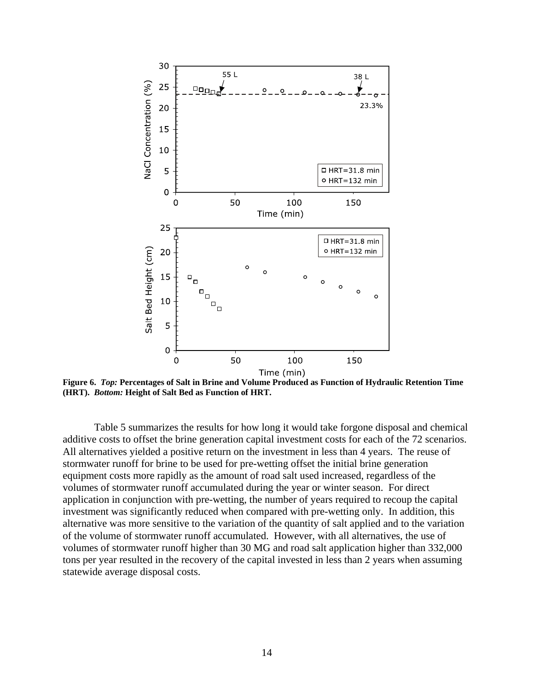

**Figure 6.** *Top:* **Percentages of Salt in Brine and Volume Produced as Function of Hydraulic Retention Time (HRT).** *Bottom:* **Height of Salt Bed as Function of HRT.** 

 Table 5 summarizes the results for how long it would take forgone disposal and chemical additive costs to offset the brine generation capital investment costs for each of the 72 scenarios. All alternatives yielded a positive return on the investment in less than 4 years. The reuse of stormwater runoff for brine to be used for pre-wetting offset the initial brine generation equipment costs more rapidly as the amount of road salt used increased, regardless of the volumes of stormwater runoff accumulated during the year or winter season. For direct application in conjunction with pre-wetting, the number of years required to recoup the capital investment was significantly reduced when compared with pre-wetting only. In addition, this alternative was more sensitive to the variation of the quantity of salt applied and to the variation of the volume of stormwater runoff accumulated. However, with all alternatives, the use of volumes of stormwater runoff higher than 30 MG and road salt application higher than 332,000 tons per year resulted in the recovery of the capital invested in less than 2 years when assuming statewide average disposal costs.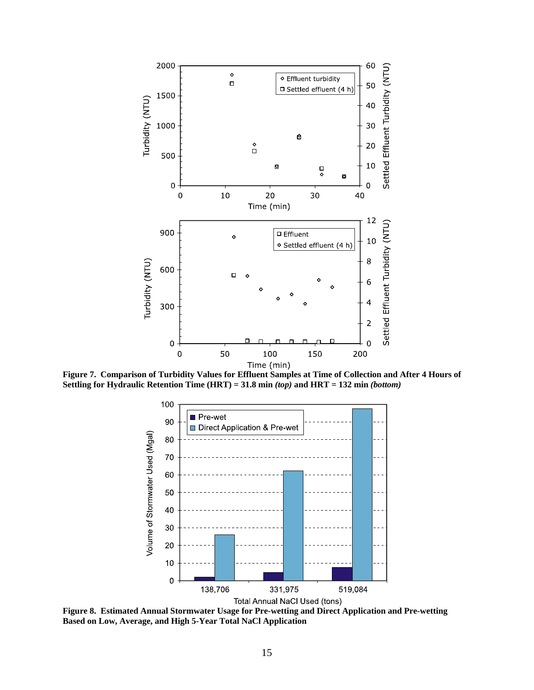

**Figure 7. Comparison of Turbidity Values for Effluent Samples at Time of Collection and After 4 Hours of Settling for Hydraulic Retention Time (HRT) = 31.8 min** *(top)* **and HRT = 132 min** *(bottom)* 



**Figure 8. Estimated Annual Stormwater Usage for Pre-wetting and Direct Application and Pre-wetting Based on Low, Average, and High 5-Year Total NaCl Application**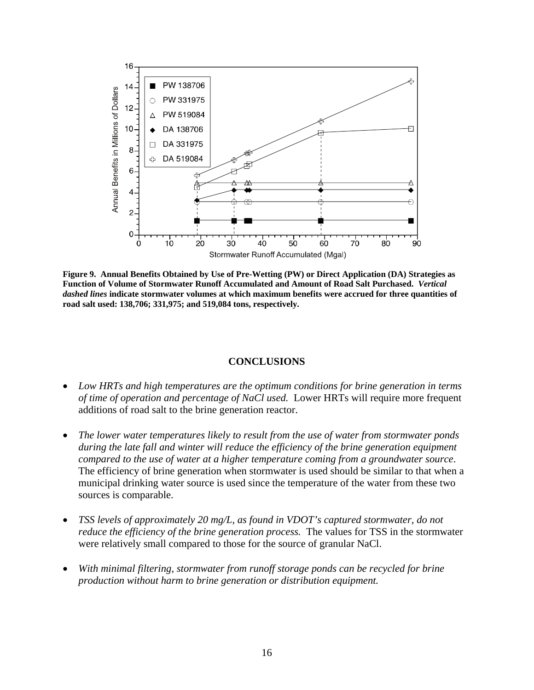

**Figure 9. Annual Benefits Obtained by Use of Pre-Wetting (PW) or Direct Application (DA) Strategies as Function of Volume of Stormwater Runoff Accumulated and Amount of Road Salt Purchased.** *Vertical dashed lines* **indicate stormwater volumes at which maximum benefits were accrued for three quantities of road salt used: 138,706; 331,975; and 519,084 tons, respectively.** 

### **CONCLUSIONS**

- *Low HRTs and high temperatures are the optimum conditions for brine generation in terms of time of operation and percentage of NaCl used.* Lower HRTs will require more frequent additions of road salt to the brine generation reactor.
- *The lower water temperatures likely to result from the use of water from stormwater ponds*  during the late fall and winter will reduce the efficiency of the brine generation equipment *compared to the use of water at a higher temperature coming from a groundwater source*. The efficiency of brine generation when stormwater is used should be similar to that when a municipal drinking water source is used since the temperature of the water from these two sources is comparable.
- *TSS levels of approximately 20 mg/L, as found in VDOT's captured stormwater, do not reduce the efficiency of the brine generation process.* The values for TSS in the stormwater were relatively small compared to those for the source of granular NaCl.
- *With minimal filtering, stormwater from runoff storage ponds can be recycled for brine production without harm to brine generation or distribution equipment.*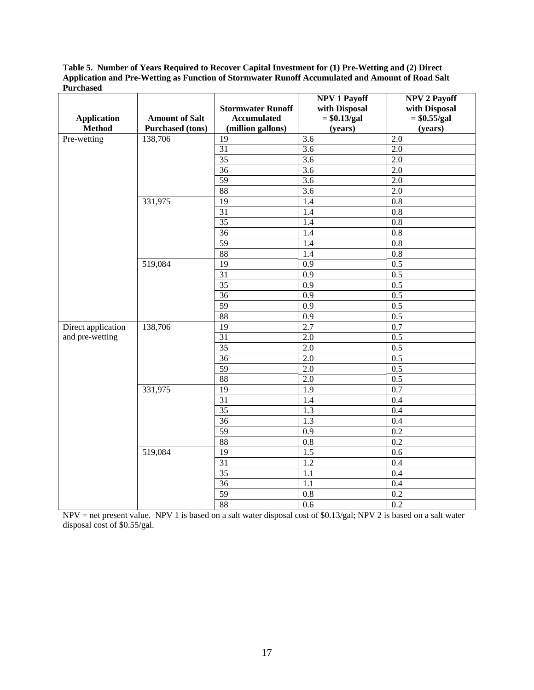**Table 5. Number of Years Required to Recover Capital Investment for (1) Pre-Wetting and (2) Direct Application and Pre-Wetting as Function of Stormwater Runoff Accumulated and Amount of Road Salt Purchased** 

| <b>Application</b><br><b>Method</b> | <b>Amount of Salt</b><br><b>Purchased</b> (tons) | <b>Stormwater Runoff</b><br><b>Accumulated</b><br>(million gallons) | NPV 1 Payoff<br>with Disposal<br>$=$ \$0.13/gal<br>(years) | NPV 2 Payoff<br>with Disposal<br>$= $0.55/gal$<br>(years) |
|-------------------------------------|--------------------------------------------------|---------------------------------------------------------------------|------------------------------------------------------------|-----------------------------------------------------------|
| Pre-wetting                         | 138,706                                          | 19                                                                  | 3.6                                                        | 2.0                                                       |
|                                     |                                                  | 31                                                                  | 3.6                                                        | 2.0                                                       |
|                                     |                                                  | 35                                                                  | 3.6                                                        | 2.0                                                       |
|                                     |                                                  | 36                                                                  | 3.6                                                        | 2.0                                                       |
|                                     |                                                  | 59                                                                  | 3.6                                                        | 2.0                                                       |
|                                     |                                                  | 88                                                                  | 3.6                                                        | 2.0                                                       |
|                                     | 331,975                                          | 19                                                                  | 1.4                                                        | $\overline{0.8}$                                          |
|                                     |                                                  | $\overline{31}$                                                     | 1.4                                                        | 0.8                                                       |
|                                     |                                                  | $\overline{35}$                                                     | 1.4                                                        | 0.8                                                       |
|                                     |                                                  | $\overline{36}$                                                     | 1.4                                                        | $0.8\,$                                                   |
|                                     |                                                  | 59                                                                  | 1.4                                                        | $0.8\,$                                                   |
|                                     |                                                  | 88                                                                  | 1.4                                                        | $\overline{0.8}$                                          |
|                                     | 519,084                                          | 19                                                                  | $\overline{0.9}$                                           | $\overline{0.5}$                                          |
|                                     |                                                  | $\overline{31}$                                                     | $\overline{0.9}$                                           | $\overline{0.5}$                                          |
|                                     |                                                  | $\overline{35}$                                                     | $\overline{0.9}$                                           | $\overline{0.5}$                                          |
|                                     |                                                  | $\overline{36}$                                                     | 0.9                                                        | 0.5                                                       |
|                                     |                                                  | 59                                                                  | 0.9                                                        | 0.5                                                       |
|                                     |                                                  | 88                                                                  | 0.9                                                        | 0.5                                                       |
| Direct application                  | 138,706                                          | $\overline{19}$                                                     | 2.7                                                        | 0.7                                                       |
| and pre-wetting                     |                                                  | 31                                                                  | 2.0                                                        | 0.5                                                       |
|                                     |                                                  | $\overline{35}$                                                     | 2.0                                                        | $\overline{0.5}$                                          |
|                                     |                                                  | $\overline{36}$                                                     | 2.0                                                        | $\overline{0.5}$                                          |
|                                     |                                                  | 59                                                                  | 2.0                                                        | $\overline{0.5}$                                          |
|                                     |                                                  | 88                                                                  | 2.0                                                        | 0.5                                                       |
|                                     | 331,975                                          | 19                                                                  | 1.9                                                        | 0.7                                                       |
|                                     |                                                  | 31                                                                  | 1.4                                                        | 0.4                                                       |
|                                     |                                                  | $\overline{35}$                                                     | 1.3                                                        | 0.4                                                       |
|                                     |                                                  | $\overline{36}$                                                     | 1.3                                                        | 0.4                                                       |
|                                     |                                                  | 59                                                                  | 0.9                                                        | 0.2                                                       |
|                                     |                                                  | 88                                                                  | 0.8                                                        | 0.2                                                       |
|                                     | 519,084                                          | $\overline{19}$                                                     | 1.5                                                        | 0.6                                                       |
|                                     |                                                  | $\overline{31}$                                                     | 1.2                                                        | 0.4                                                       |
|                                     |                                                  | $\overline{35}$                                                     | 1.1                                                        | 0.4                                                       |
|                                     |                                                  | $\overline{36}$                                                     | 1.1                                                        | 0.4                                                       |
|                                     |                                                  | 59                                                                  | 0.8                                                        | 0.2                                                       |
|                                     |                                                  | 88                                                                  | 0.6                                                        | 0.2                                                       |

 $NPV =$  net present value. NPV 1 is based on a salt water disposal cost of \$0.13/gal; NPV 2 is based on a salt water disposal cost of \$0.55/gal.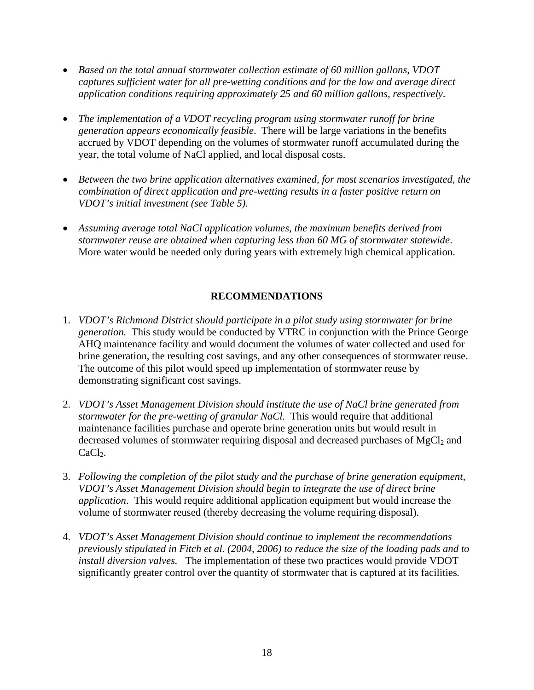- *Based on the total annual stormwater collection estimate of 60 million gallons, VDOT captures sufficient water for all pre-wetting conditions and for the low and average direct application conditions requiring approximately 25 and 60 million gallons, respectively*.
- *The implementation of a VDOT recycling program using stormwater runoff for brine generation appears economically feasible*. There will be large variations in the benefits accrued by VDOT depending on the volumes of stormwater runoff accumulated during the year, the total volume of NaCl applied, and local disposal costs.
- *Between the two brine application alternatives examined, for most scenarios investigated, the combination of direct application and pre-wetting results in a faster positive return on VDOT's initial investment (see Table 5).*
- *Assuming average total NaCl application volumes, the maximum benefits derived from stormwater reuse are obtained when capturing less than 60 MG of stormwater statewide*. More water would be needed only during years with extremely high chemical application.

# **RECOMMENDATIONS**

- 1. *VDOT's Richmond District should participate in a pilot study using stormwater for brine generation.* This study would be conducted by VTRC in conjunction with the Prince George AHQ maintenance facility and would document the volumes of water collected and used for brine generation, the resulting cost savings, and any other consequences of stormwater reuse. The outcome of this pilot would speed up implementation of stormwater reuse by demonstrating significant cost savings.
- 2. *VDOT's Asset Management Division should institute the use of NaCl brine generated from stormwater for the pre-wetting of granular NaCl.* This would require that additional maintenance facilities purchase and operate brine generation units but would result in decreased volumes of stormwater requiring disposal and decreased purchases of  $MgCl<sub>2</sub>$  and  $CaCl<sub>2</sub>$ .
- 3. *Following the completion of the pilot study and the purchase of brine generation equipment, VDOT's Asset Management Division should begin to integrate the use of direct brine application*. This would require additional application equipment but would increase the volume of stormwater reused (thereby decreasing the volume requiring disposal).
- 4. *VDOT's Asset Management Division should continue to implement the recommendations previously stipulated in Fitch et al. (2004, 2006) to reduce the size of the loading pads and to install diversion valves.* The implementation of these two practices would provide VDOT significantly greater control over the quantity of stormwater that is captured at its facilities*.*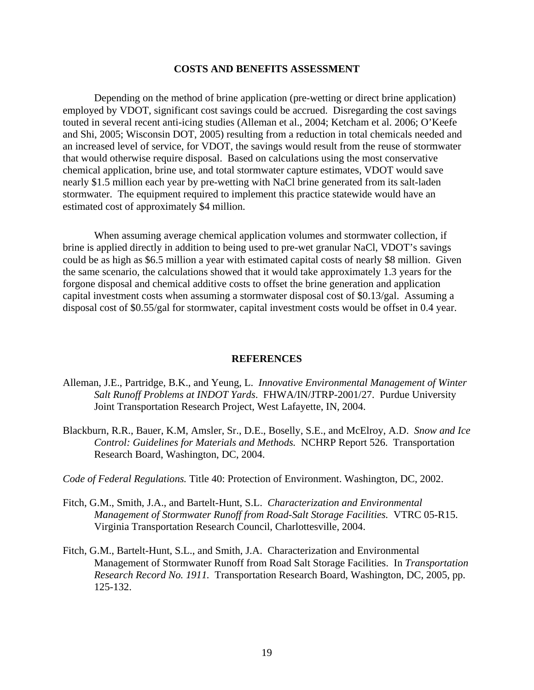### **COSTS AND BENEFITS ASSESSMENT**

Depending on the method of brine application (pre-wetting or direct brine application) employed by VDOT, significant cost savings could be accrued. Disregarding the cost savings touted in several recent anti-icing studies (Alleman et al., 2004; Ketcham et al. 2006; O'Keefe and Shi, 2005; Wisconsin DOT, 2005) resulting from a reduction in total chemicals needed and an increased level of service, for VDOT, the savings would result from the reuse of stormwater that would otherwise require disposal. Based on calculations using the most conservative chemical application, brine use, and total stormwater capture estimates, VDOT would save nearly \$1.5 million each year by pre-wetting with NaCl brine generated from its salt-laden stormwater. The equipment required to implement this practice statewide would have an estimated cost of approximately \$4 million.

When assuming average chemical application volumes and stormwater collection, if brine is applied directly in addition to being used to pre-wet granular NaCl, VDOT's savings could be as high as \$6.5 million a year with estimated capital costs of nearly \$8 million. Given the same scenario, the calculations showed that it would take approximately 1.3 years for the forgone disposal and chemical additive costs to offset the brine generation and application capital investment costs when assuming a stormwater disposal cost of \$0.13/gal. Assuming a disposal cost of \$0.55/gal for stormwater, capital investment costs would be offset in 0.4 year.

#### **REFERENCES**

- Alleman, J.E., Partridge, B.K., and Yeung, L. *Innovative Environmental Management of Winter Salt Runoff Problems at INDOT Yards*. FHWA/IN/JTRP-2001/27. Purdue University Joint Transportation Research Project, West Lafayette, IN, 2004.
- Blackburn, R.R., Bauer, K.M, Amsler, Sr., D.E., Boselly, S.E., and McElroy, A.D. *Snow and Ice Control: Guidelines for Materials and Methods.* NCHRP Report 526. Transportation Research Board, Washington, DC, 2004.
- *Code of Federal Regulations.* Title 40: Protection of Environment. Washington, DC, 2002.
- Fitch, G.M., Smith, J.A., and Bartelt-Hunt, S.L. *Characterization and Environmental Management of Stormwater Runoff from Road-Salt Storage Facilities.* VTRC 05-R15. Virginia Transportation Research Council, Charlottesville, 2004.
- Fitch, G.M., Bartelt-Hunt, S.L., and Smith, J.A. Characterization and Environmental Management of Stormwater Runoff from Road Salt Storage Facilities. In *Transportation Research Record No. 1911.* Transportation Research Board, Washington, DC, 2005, pp. 125-132.